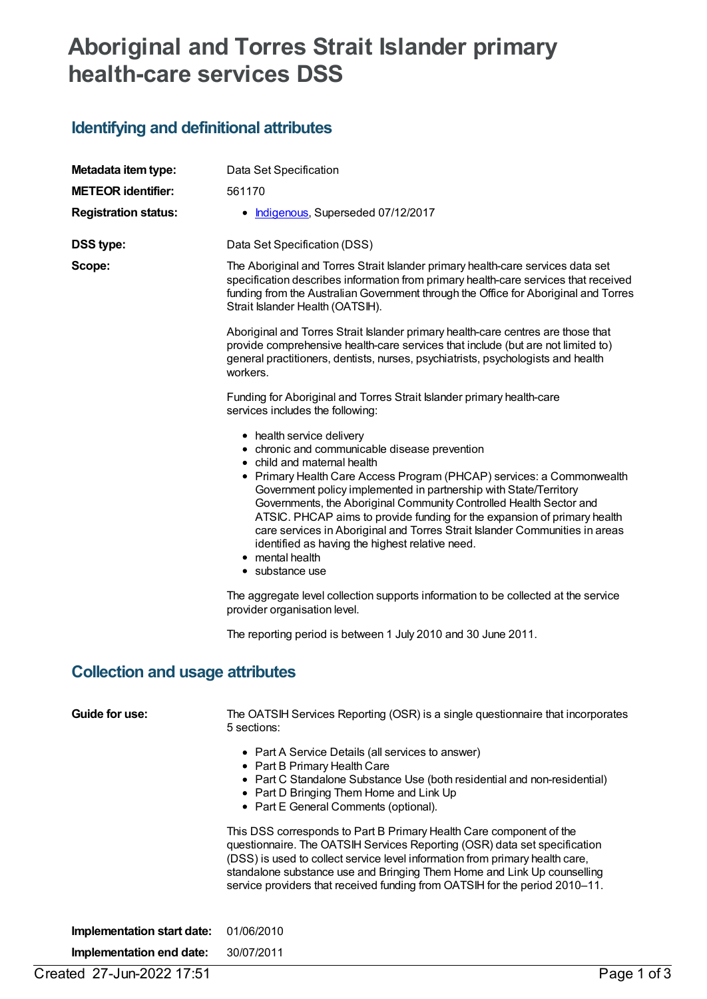## **Aboriginal and Torres Strait Islander primary health-care services DSS**

## **Identifying and definitional attributes**

| Metadata item type:                    | Data Set Specification                                                                                                                                                                                                                                                                                                                                                                                                                                                                                                                                                            |  |  |  |
|----------------------------------------|-----------------------------------------------------------------------------------------------------------------------------------------------------------------------------------------------------------------------------------------------------------------------------------------------------------------------------------------------------------------------------------------------------------------------------------------------------------------------------------------------------------------------------------------------------------------------------------|--|--|--|
| <b>METEOR identifier:</b>              | 561170                                                                                                                                                                                                                                                                                                                                                                                                                                                                                                                                                                            |  |  |  |
| <b>Registration status:</b>            | • Indigenous, Superseded 07/12/2017                                                                                                                                                                                                                                                                                                                                                                                                                                                                                                                                               |  |  |  |
| <b>DSS type:</b>                       | Data Set Specification (DSS)                                                                                                                                                                                                                                                                                                                                                                                                                                                                                                                                                      |  |  |  |
| Scope:                                 | The Aboriginal and Torres Strait Islander primary health-care services data set<br>specification describes information from primary health-care services that received<br>funding from the Australian Government through the Office for Aboriginal and Torres<br>Strait Islander Health (OATSIH).                                                                                                                                                                                                                                                                                 |  |  |  |
|                                        | Aboriginal and Torres Strait Islander primary health-care centres are those that<br>provide comprehensive health-care services that include (but are not limited to)<br>general practitioners, dentists, nurses, psychiatrists, psychologists and health<br>workers.                                                                                                                                                                                                                                                                                                              |  |  |  |
|                                        | Funding for Aboriginal and Torres Strait Islander primary health-care<br>services includes the following:                                                                                                                                                                                                                                                                                                                                                                                                                                                                         |  |  |  |
|                                        | • health service delivery<br>• chronic and communicable disease prevention<br>• child and maternal health<br>• Primary Health Care Access Program (PHCAP) services: a Commonwealth<br>Government policy implemented in partnership with State/Territory<br>Governments, the Aboriginal Community Controlled Health Sector and<br>ATSIC. PHCAP aims to provide funding for the expansion of primary health<br>care services in Aboriginal and Torres Strait Islander Communities in areas<br>identified as having the highest relative need.<br>• mental health<br>• substance use |  |  |  |
|                                        | The aggregate level collection supports information to be collected at the service<br>provider organisation level.                                                                                                                                                                                                                                                                                                                                                                                                                                                                |  |  |  |
|                                        | The reporting period is between 1 July 2010 and 30 June 2011.                                                                                                                                                                                                                                                                                                                                                                                                                                                                                                                     |  |  |  |
| <b>Collection and usage attributes</b> |                                                                                                                                                                                                                                                                                                                                                                                                                                                                                                                                                                                   |  |  |  |
| Guide for use:                         | The OATSIH Services Reporting (OSR) is a single questionnaire that incorporates<br>5 sections:                                                                                                                                                                                                                                                                                                                                                                                                                                                                                    |  |  |  |
|                                        | • Part A Service Details (all services to answer)<br>• Part B Primary Health Care<br>• Part C Standalone Substance Use (both residential and non-residential)<br>• Part D Bringing Them Home and Link Up<br>• Part E General Comments (optional).                                                                                                                                                                                                                                                                                                                                 |  |  |  |
|                                        | This DSS corresponds to Part B Primary Health Care component of the<br>questionnaire. The OATSIH Services Reporting (OSR) data set specification<br>(DSS) is used to collect service level information from primary health care,<br>standalone substance use and Bringing Them Home and Link Up counselling<br>service providers that received funding from OATSIH for the period 2010-11.                                                                                                                                                                                        |  |  |  |
| Implementation start date:             | 01/06/2010                                                                                                                                                                                                                                                                                                                                                                                                                                                                                                                                                                        |  |  |  |
| Implementation end date:               | 30/07/2011                                                                                                                                                                                                                                                                                                                                                                                                                                                                                                                                                                        |  |  |  |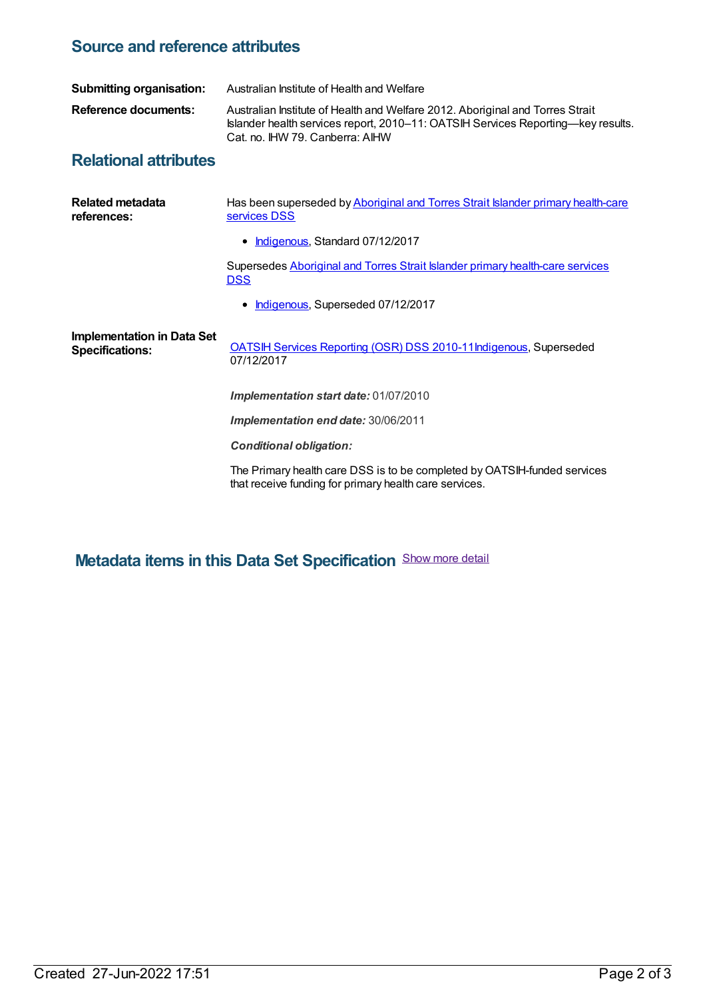## **Source and reference attributes**

| <b>Submitting organisation:</b>                             | Australian Institute of Health and Welfare                                                                                                                                                           |  |  |  |
|-------------------------------------------------------------|------------------------------------------------------------------------------------------------------------------------------------------------------------------------------------------------------|--|--|--|
| Reference documents:                                        | Australian Institute of Health and Welfare 2012. Aboriginal and Torres Strait<br>Islander health services report, 2010–11: OATSIH Services Reporting—key results.<br>Cat. no. IHW 79. Canberra: AIHW |  |  |  |
| <b>Relational attributes</b>                                |                                                                                                                                                                                                      |  |  |  |
| <b>Related metadata</b><br>references:                      | Has been superseded by Aboriginal and Torres Strait Islander primary health-care<br>services DSS                                                                                                     |  |  |  |
|                                                             | Indigenous, Standard 07/12/2017                                                                                                                                                                      |  |  |  |
|                                                             | Supersedes Aboriginal and Torres Strait Islander primary health-care services<br><b>DSS</b>                                                                                                          |  |  |  |
|                                                             | • Indigenous, Superseded 07/12/2017                                                                                                                                                                  |  |  |  |
| <b>Implementation in Data Set</b><br><b>Specifications:</b> | <b>OATSIH Services Reporting (OSR) DSS 2010-11Indigenous, Superseded</b><br>07/12/2017                                                                                                               |  |  |  |
|                                                             | Implementation start date: 01/07/2010                                                                                                                                                                |  |  |  |
|                                                             | Implementation end date: 30/06/2011                                                                                                                                                                  |  |  |  |
|                                                             | <b>Conditional obligation:</b>                                                                                                                                                                       |  |  |  |
|                                                             | The Primary health care DSS is to be completed by OATSIH-funded services<br>that receive funding for primary health care services.                                                                   |  |  |  |
|                                                             |                                                                                                                                                                                                      |  |  |  |

**Metadata items in this Data Set Specification** Show more detail